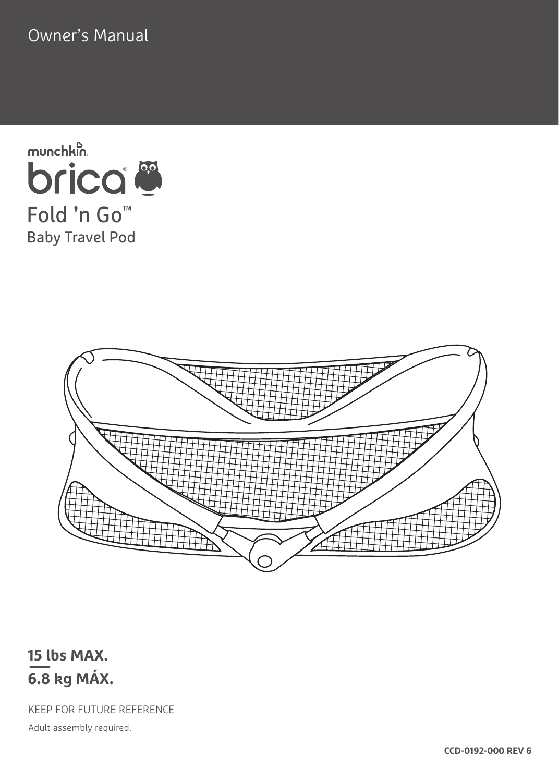Owner's Manual





#### **15 lbs MAX. 6.8 kg MÁX.**

KEEP FOR FUTURE REFERENCE

Adult assembly required.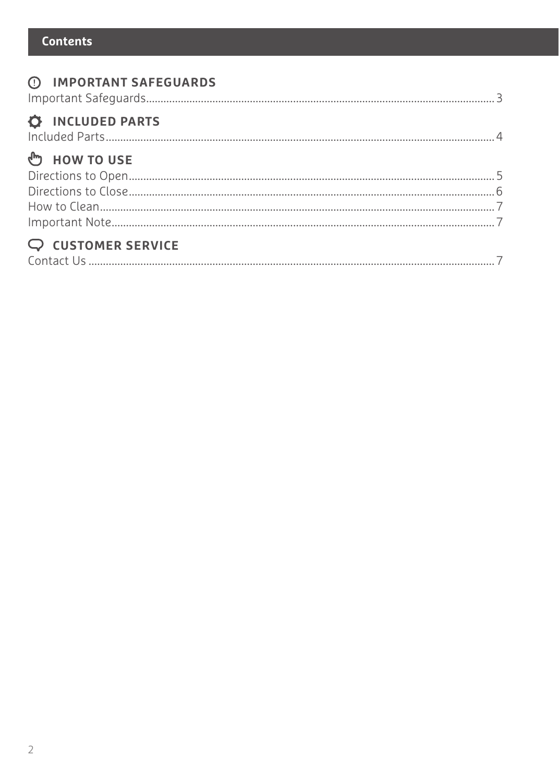#### **Contents**

| <b>(1) IMPORTANT SAFEGUARDS</b> |  |
|---------------------------------|--|
| <b>C</b> INCLUDED PARTS         |  |
| <sup>ம</sup> ு HOW TO USE       |  |
|                                 |  |
|                                 |  |
|                                 |  |
| $Q$ CUSTOMER SERVICE            |  |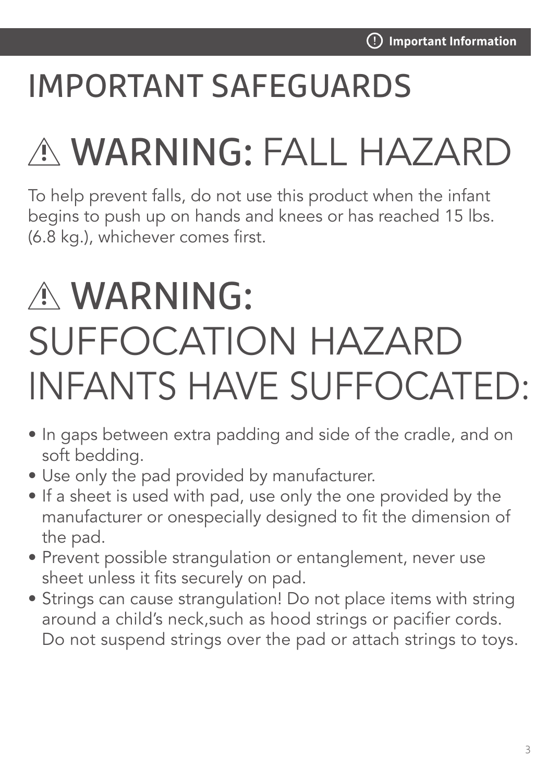## IMPORTANT SAFEGUARDS

# WARNING: FALL HAZARD

To help prevent falls, do not use this product when the infant begins to push up on hands and knees or has reached 15 lbs. (6.8 kg.), whichever comes first.

# WARNING: SUFFOCATION HAZARD INFANTS HAVE SUFFOCATED:

- In gaps between extra padding and side of the cradle, and on soft bedding.
- Use only the pad provided by manufacturer.
- If a sheet is used with pad, use only the one provided by the manufacturer or onespecially designed to fit the dimension of the pad.
- Prevent possible strangulation or entanglement, never use sheet unless it fits securely on pad.
- Strings can cause strangulation! Do not place items with string around a child's neck,such as hood strings or pacifier cords. Do not suspend strings over the pad or attach strings to toys.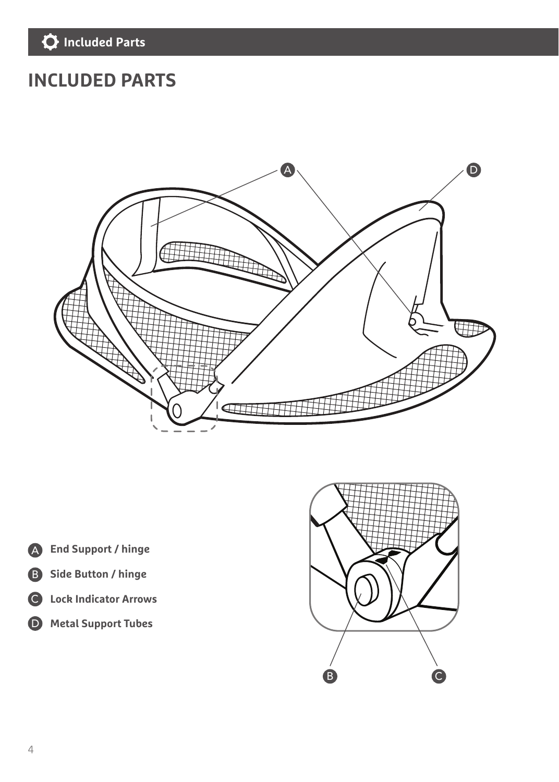#### **INCLUDED PARTS**



- **End Support / hinge** A
- **Side Button / hinge** B
- **Lock Indicator Arrows**  C
- **Metal Support Tubes** D

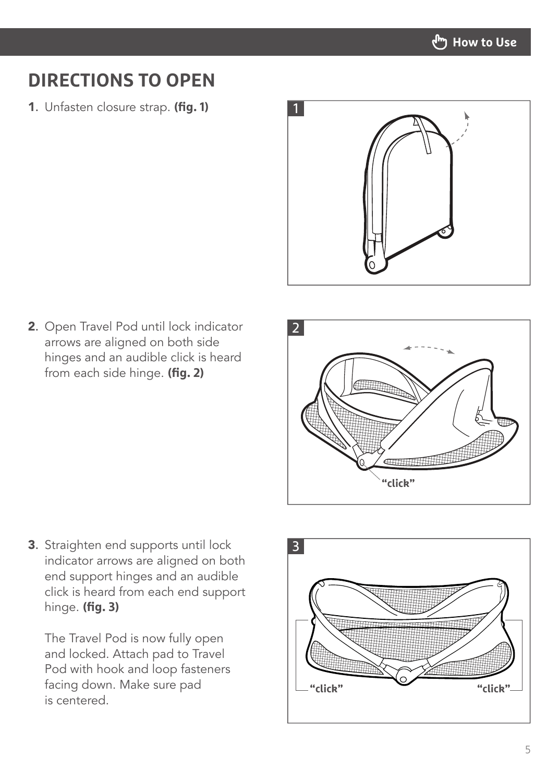

#### **DIRECTIONS TO OPEN**

1. Unfasten closure strap. **(fig. 1)**



2. Open Travel Pod until lock indicator arrows are aligned on both side hinges and an audible click is heard from each side hinge. **(fig. 2)**



3. Straighten end supports until lock indicator arrows are aligned on both end support hinges and an audible click is heard from each end support hinge. **(fig. 3)**

The Travel Pod is now fully open and locked. Attach pad to Travel Pod with hook and loop fasteners facing down. Make sure pad is centered.

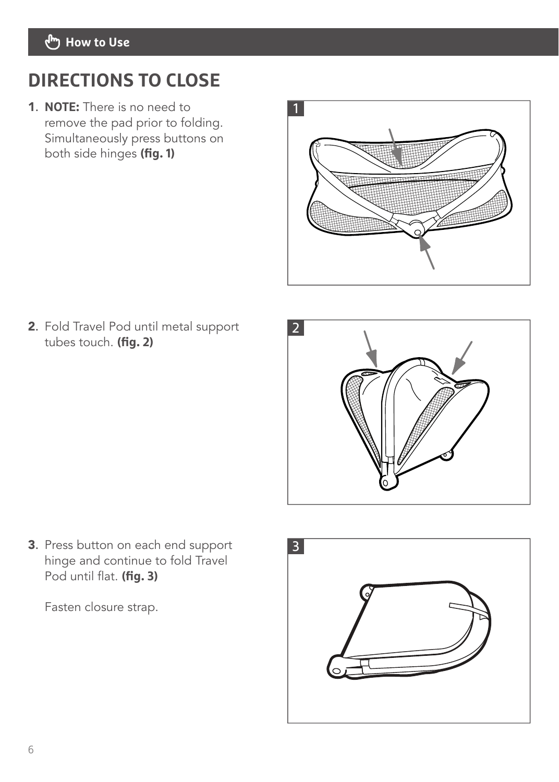#### **How to Use**

#### **DIRECTIONS TO CLOSE**

1. **NOTE:** There is no need to remove the pad prior to folding. Simultaneously press buttons on both side hinges **(fig. 1)** 



2. Fold Travel Pod until metal support tubes touch. **(fig. 2)**



3. Press button on each end support hinge and continue to fold Travel Pod until flat. **(fig. 3)**

Fasten closure strap.

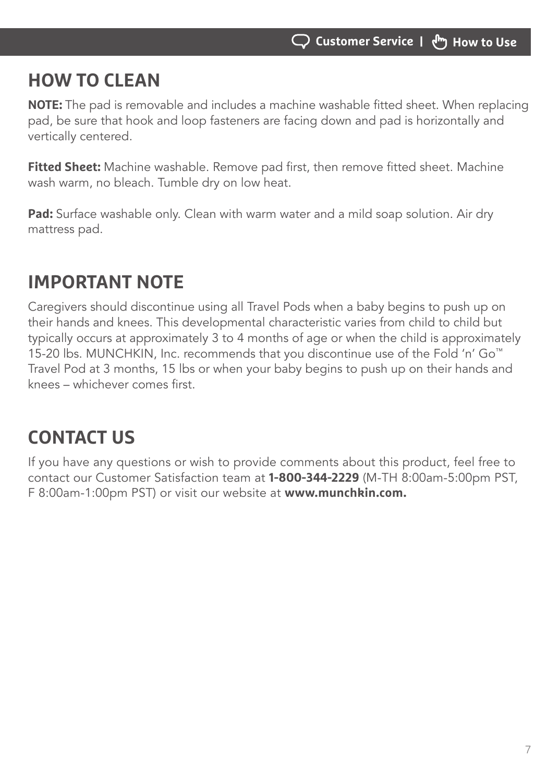#### **HOW TO CLEAN**

**NOTE:** The pad is removable and includes a machine washable fitted sheet. When replacing pad, be sure that hook and loop fasteners are facing down and pad is horizontally and vertically centered.

**Fitted Sheet:** Machine washable. Remove pad first, then remove fitted sheet. Machine wash warm, no bleach. Tumble dry on low heat.

**Pad:** Surface washable only. Clean with warm water and a mild soap solution. Air dry mattress pad.

### **IMPORTANT NOTE**

Caregivers should discontinue using all Travel Pods when a baby begins to push up on their hands and knees. This developmental characteristic varies from child to child but typically occurs at approximately 3 to 4 months of age or when the child is approximately 15-20 lbs. MUNCHKIN, Inc. recommends that you discontinue use of the Fold 'n' Go™ Travel Pod at 3 months, 15 lbs or when your baby begins to push up on their hands and knees – whichever comes first.

### **CONTACT US**

If you have any questions or wish to provide comments about this product, feel free to contact our Customer Satisfaction team at **1-800-344-2229** (M-TH 8:00am-5:00pm PST, F 8:00am-1:00pm PST) or visit our website at **www.munchkin.com.**